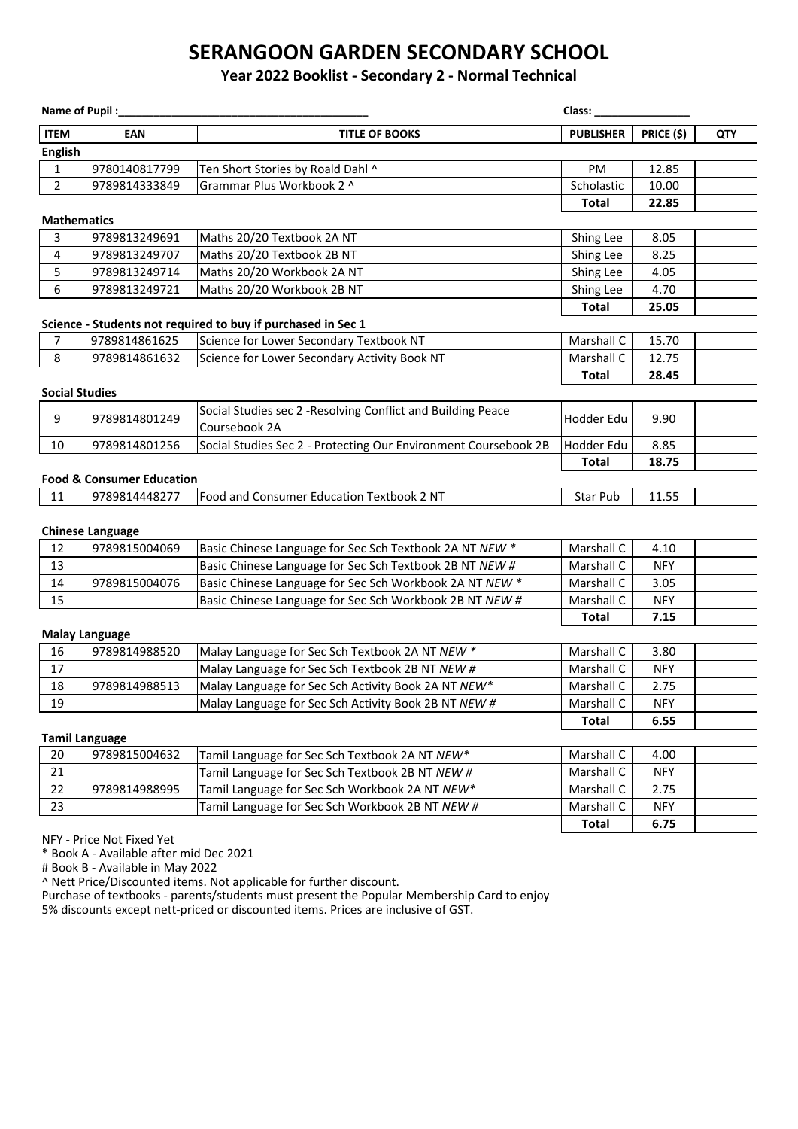# **SERANGOON GARDEN SECONDARY SCHOOL**

#### **Year 2022 Booklist - Secondary 2 - Normal Technical**

| Name of Pupil:                                               |                                      |                                                                 | Class: and the control of the control of the control of the control of the control of the control of the control of the control of the control of the control of the control of the control of the control of the control of t |            |            |  |  |  |
|--------------------------------------------------------------|--------------------------------------|-----------------------------------------------------------------|--------------------------------------------------------------------------------------------------------------------------------------------------------------------------------------------------------------------------------|------------|------------|--|--|--|
| <b>ITEM</b>                                                  | <b>EAN</b>                           | <b>TITLE OF BOOKS</b>                                           | <b>PUBLISHER</b>                                                                                                                                                                                                               | PRICE (\$) | <b>QTY</b> |  |  |  |
| <b>English</b>                                               |                                      |                                                                 |                                                                                                                                                                                                                                |            |            |  |  |  |
| 1                                                            | 9780140817799                        | Ten Short Stories by Roald Dahl ^                               | PM                                                                                                                                                                                                                             | 12.85      |            |  |  |  |
| $\overline{2}$                                               | 9789814333849                        | Grammar Plus Workbook 2 ^                                       | Scholastic                                                                                                                                                                                                                     | 10.00      |            |  |  |  |
|                                                              |                                      | <b>Total</b>                                                    | 22.85                                                                                                                                                                                                                          |            |            |  |  |  |
|                                                              | <b>Mathematics</b>                   |                                                                 |                                                                                                                                                                                                                                |            |            |  |  |  |
| 3                                                            | 9789813249691                        | Maths 20/20 Textbook 2A NT                                      | Shing Lee                                                                                                                                                                                                                      | 8.05       |            |  |  |  |
| 4                                                            | 9789813249707                        | Maths 20/20 Textbook 2B NT                                      | Shing Lee                                                                                                                                                                                                                      | 8.25       |            |  |  |  |
| 5                                                            | 9789813249714                        | Maths 20/20 Workbook 2A NT                                      | Shing Lee                                                                                                                                                                                                                      | 4.05       |            |  |  |  |
| 6                                                            | 9789813249721                        | Maths 20/20 Workbook 2B NT                                      | Shing Lee                                                                                                                                                                                                                      | 4.70       |            |  |  |  |
|                                                              |                                      |                                                                 | <b>Total</b>                                                                                                                                                                                                                   | 25.05      |            |  |  |  |
| Science - Students not required to buy if purchased in Sec 1 |                                      |                                                                 |                                                                                                                                                                                                                                |            |            |  |  |  |
| 7                                                            | 9789814861625                        | Science for Lower Secondary Textbook NT                         | Marshall C                                                                                                                                                                                                                     | 15.70      |            |  |  |  |
| 8                                                            | 9789814861632                        | Science for Lower Secondary Activity Book NT                    | Marshall C                                                                                                                                                                                                                     | 12.75      |            |  |  |  |
|                                                              |                                      |                                                                 | <b>Total</b>                                                                                                                                                                                                                   | 28.45      |            |  |  |  |
| <b>Social Studies</b>                                        |                                      |                                                                 |                                                                                                                                                                                                                                |            |            |  |  |  |
| 9                                                            | 9789814801249                        | Social Studies sec 2 - Resolving Conflict and Building Peace    | Hodder Edu                                                                                                                                                                                                                     | 9.90       |            |  |  |  |
|                                                              |                                      | Coursebook 2A                                                   |                                                                                                                                                                                                                                |            |            |  |  |  |
| 10                                                           | 9789814801256                        | Social Studies Sec 2 - Protecting Our Environment Coursebook 2B | Hodder Edu                                                                                                                                                                                                                     | 8.85       |            |  |  |  |
|                                                              |                                      |                                                                 | <b>Total</b>                                                                                                                                                                                                                   | 18.75      |            |  |  |  |
|                                                              | <b>Food &amp; Consumer Education</b> |                                                                 |                                                                                                                                                                                                                                |            |            |  |  |  |
| 11                                                           | 9789814448277                        | Food and Consumer Education Textbook 2 NT                       | Star Pub                                                                                                                                                                                                                       | 11.55      |            |  |  |  |
|                                                              |                                      |                                                                 |                                                                                                                                                                                                                                |            |            |  |  |  |
|                                                              | <b>Chinese Language</b>              |                                                                 |                                                                                                                                                                                                                                |            |            |  |  |  |
| 12                                                           | 9789815004069                        | Basic Chinese Language for Sec Sch Textbook 2A NT NEW *         | Marshall C                                                                                                                                                                                                                     | 4.10       |            |  |  |  |
| 13                                                           |                                      | Basic Chinese Language for Sec Sch Textbook 2B NT NEW #         | Marshall C                                                                                                                                                                                                                     | <b>NFY</b> |            |  |  |  |
| 14                                                           | 9789815004076                        | Basic Chinese Language for Sec Sch Workbook 2A NT NEW *         | Marshall C                                                                                                                                                                                                                     | 3.05       |            |  |  |  |
| 15                                                           |                                      | Basic Chinese Language for Sec Sch Workbook 2B NT NEW #         | Marshall C                                                                                                                                                                                                                     | <b>NFY</b> |            |  |  |  |
|                                                              |                                      |                                                                 | <b>Total</b>                                                                                                                                                                                                                   | 7.15       |            |  |  |  |
| <b>Malay Language</b>                                        |                                      |                                                                 |                                                                                                                                                                                                                                |            |            |  |  |  |
| 16                                                           | 9789814988520                        | Malay Language for Sec Sch Textbook 2A NT NEW *                 | Marshall C                                                                                                                                                                                                                     | 3.80       |            |  |  |  |
| 17                                                           |                                      | Malay Language for Sec Sch Textbook 2B NT NEW #                 | Marshall C                                                                                                                                                                                                                     | <b>NFY</b> |            |  |  |  |
| 18                                                           | 9789814988513                        | Malay Language for Sec Sch Activity Book 2A NT NEW*             | Marshall C                                                                                                                                                                                                                     | 2.75       |            |  |  |  |
| 19                                                           |                                      | Malay Language for Sec Sch Activity Book 2B NT NEW #            | Marshall C                                                                                                                                                                                                                     | <b>NFY</b> |            |  |  |  |
|                                                              |                                      |                                                                 | <b>Total</b>                                                                                                                                                                                                                   | 6.55       |            |  |  |  |
| <b>Tamil Language</b>                                        |                                      |                                                                 |                                                                                                                                                                                                                                |            |            |  |  |  |
| 20                                                           | 9789815004632                        | Tamil Language for Sec Sch Textbook 2A NT NEW*                  | Marshall C                                                                                                                                                                                                                     | 4.00       |            |  |  |  |
| 21                                                           |                                      | Tamil Language for Sec Sch Textbook 2B NT NEW #                 | Marshall C                                                                                                                                                                                                                     | <b>NFY</b> |            |  |  |  |
| 22                                                           | 9789814988995                        | Tamil Language for Sec Sch Workbook 2A NT NEW*                  | Marshall C                                                                                                                                                                                                                     | 2.75       |            |  |  |  |
| 23                                                           |                                      | Tamil Language for Sec Sch Workbook 2B NT NEW #                 | Marshall C                                                                                                                                                                                                                     | <b>NFY</b> |            |  |  |  |
|                                                              | NFY - Price Not Fixed Yet            |                                                                 | <b>Total</b>                                                                                                                                                                                                                   | 6.75       |            |  |  |  |
|                                                              |                                      |                                                                 |                                                                                                                                                                                                                                |            |            |  |  |  |

\* Book A - Available after mid Dec 2021

# Book B - Available in May 2022

^ Nett Price/Discounted items. Not applicable for further discount.

Purchase of textbooks - parents/students must present the Popular Membership Card to enjoy 5% discounts except nett-priced or discounted items. Prices are inclusive of GST.